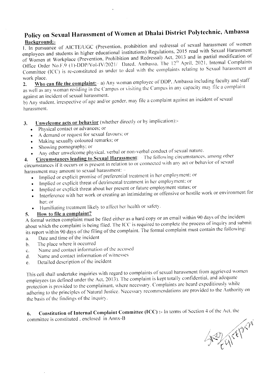## Policy on Sexual Harassment of Women at Dhalai District Polytechnic, Ambassa Background:-

1. In pursuance of AICTE/UGC (Prevention, prohibition and redressal of sexual harassment of women employees and students in higher educational institutions) Regulations, 2015 read with Sexual Harassment of Women at Workplace (Prevention, Prohibition and Redressal) Act, 2013 and in partial modification of Office Order No.F.9 (1)-DDP/Vol-IV/2021/ Dated, Ambassa. The 12<sup>th</sup> April. 2021, Internal Complaints Committee (ICC) is re-constituted as under to deal with the complaints relating to Sexual harassment at work place.

Who can file the complaint: - a) Any woman employee of DDP. Ambassa including faculty and staff  $2.$ as well as any woman residing in the Campus or visiting the Campus in any capacity may file a complaint against an incident of sexual harassment.

b) Any student, irrespective of age and/or gender, may file a complaint against an incident of sexual harassment.

- Unwelcome acts or behavior (whether directly or by implication):- $\mathbf{3}$ .
	- Physical contact or advances; or
	- A demand or request for sexual favours; or
	- Making sexually coloured remarks; or
	- Showing pornography; or
	- Any other unwelcome physical, verbal or non-verbal conduct of sexual nature.

Circumstances leading to Sexual Harassment: The following circumstances, among other  $4.$ circumstances if it occurs or is present in relation to or connected with any act or behavior of sexual harassment may amount to sexual harassment: -

- Implied or explicit promise of preferential treatment in her employment: or  $\bullet$
- Implied or explicit threat of detrimental treatment in her employment; or
- Implied or explicit threat about her present or future employment status; or
- Interference with her work or creating an intimidating or offensive or hostile work or environment for  $\bullet$ her: or
- Humiliating treatment likely to affect her health or safety.  $\bullet$

#### How to file a complaint? 5.

A formal written complaint must be filed either as a hard copy or an email within 90 days of the incident about which the complaint is being filed. The ICC is required to complete the process of inquiry and submit its report within 90 days of the filing of the complaint. The formal complaint must contain the following:

- Date and time of the incident a.
- The place where it occurred  $<sub>b</sub>$ .</sub>
- Name and contact information of the accused  $\mathbf{c}$ .
- Name and contact information of witnesses  $\mathbf{d}$ .
- Detailed description of the incident e.

This cell shall undertake inquiries with regard to complaints of sexual harassment from aggrieved women employees (as defined under the Act, 2013). The complaint is kept totally confidential, and adequate protection is provided to the complainant, where necessary. Complaints are heard expeditiously while adhering to the principles of Natural Justice. Necessary recommendations are provided to the Authority on the basis of the findings of the inquiry.

Constitution of Internal Complaint Committee (ICC) :- In terms of Section 4 of the Act, the 6. committee is constituted, enclosed in Annx-B

SEP ATH